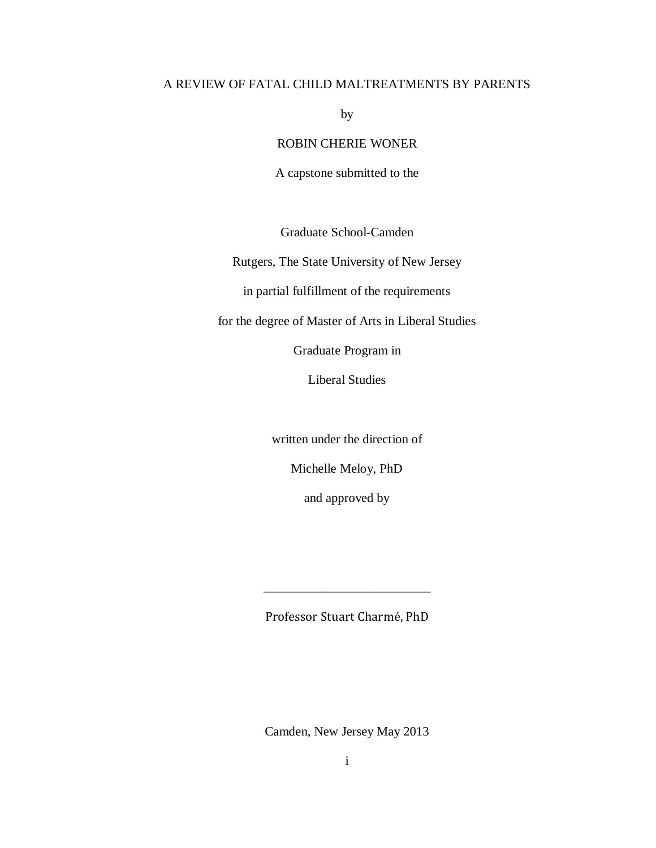# A REVIEW OF FATAL CHILD MALTREATMENTS BY PARENTS

by

ROBIN CHERIE WONER

A capstone submitted to the

Graduate School-Camden

Rutgers, The State University of New Jersey

in partial fulfillment of the requirements

for the degree of Master of Arts in Liberal Studies

Graduate Program in

Liberal Studies

written under the direction of

Michelle Meloy, PhD

and approved by

Professor Stuart Charmé, PhD

\_\_\_\_\_\_\_\_\_\_\_\_\_\_\_\_\_\_\_\_\_\_\_\_\_\_

Camden, New Jersey May 2013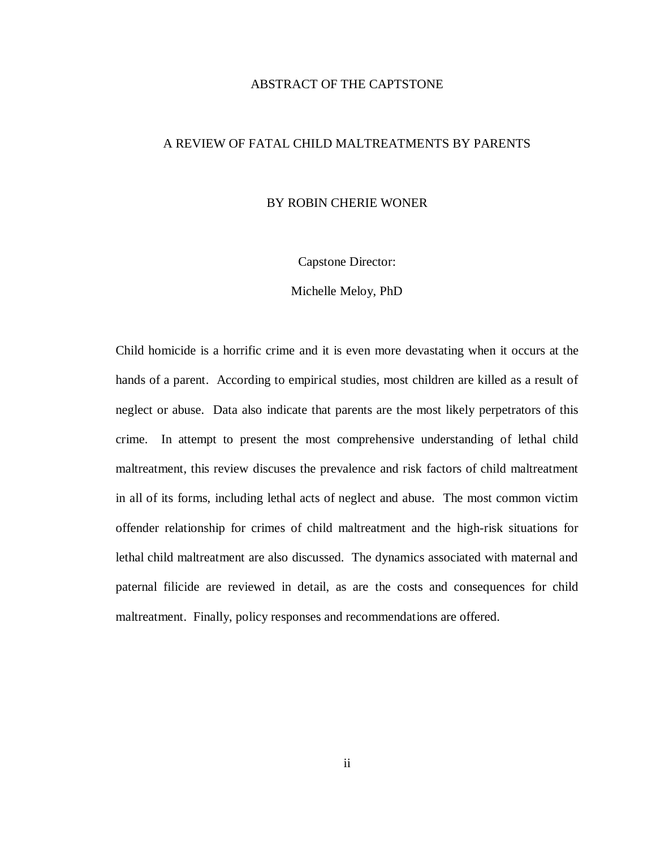## ABSTRACT OF THE CAPTSTONE

# A REVIEW OF FATAL CHILD MALTREATMENTS BY PARENTS

# BY ROBIN CHERIE WONER

Capstone Director:

Michelle Meloy, PhD

Child homicide is a horrific crime and it is even more devastating when it occurs at the hands of a parent. According to empirical studies, most children are killed as a result of neglect or abuse. Data also indicate that parents are the most likely perpetrators of this crime. In attempt to present the most comprehensive understanding of lethal child maltreatment, this review discuses the prevalence and risk factors of child maltreatment in all of its forms, including lethal acts of neglect and abuse. The most common victim offender relationship for crimes of child maltreatment and the high-risk situations for lethal child maltreatment are also discussed. The dynamics associated with maternal and paternal filicide are reviewed in detail, as are the costs and consequences for child maltreatment. Finally, policy responses and recommendations are offered.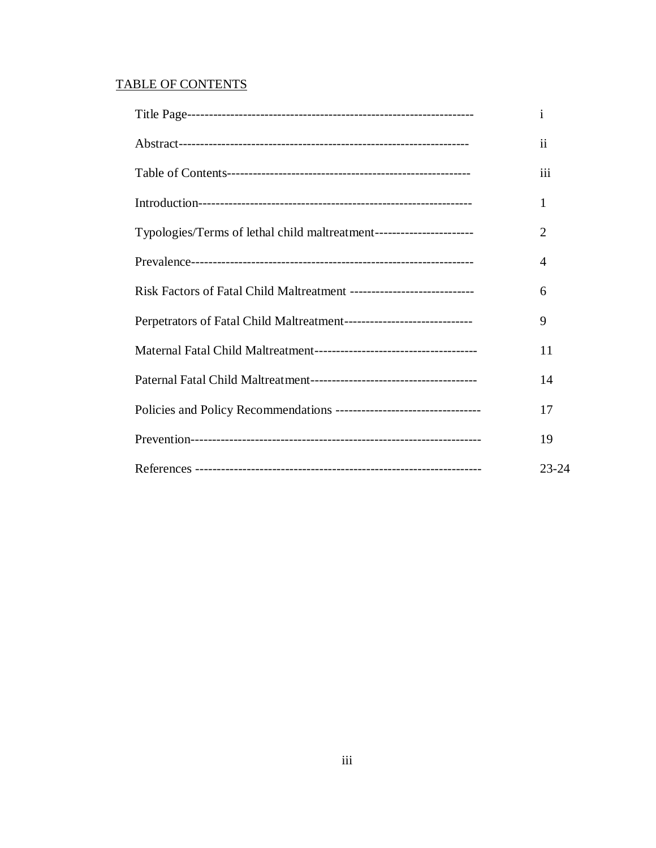# TABLE OF CONTENTS

|                                                                         | $\ddot{\rm n}$ |
|-------------------------------------------------------------------------|----------------|
|                                                                         | iii            |
|                                                                         | 1              |
| Typologies/Terms of lethal child maltreatment-----------------------    | 2              |
|                                                                         | 4              |
| Risk Factors of Fatal Child Maltreatment ------------------------------ | 6              |
| Perpetrators of Fatal Child Maltreatment------------------------------  | 9              |
|                                                                         | 11             |
|                                                                         | 14             |
| Policies and Policy Recommendations ----------------------------------- | 17             |
|                                                                         | 19             |
|                                                                         | $23 - 24$      |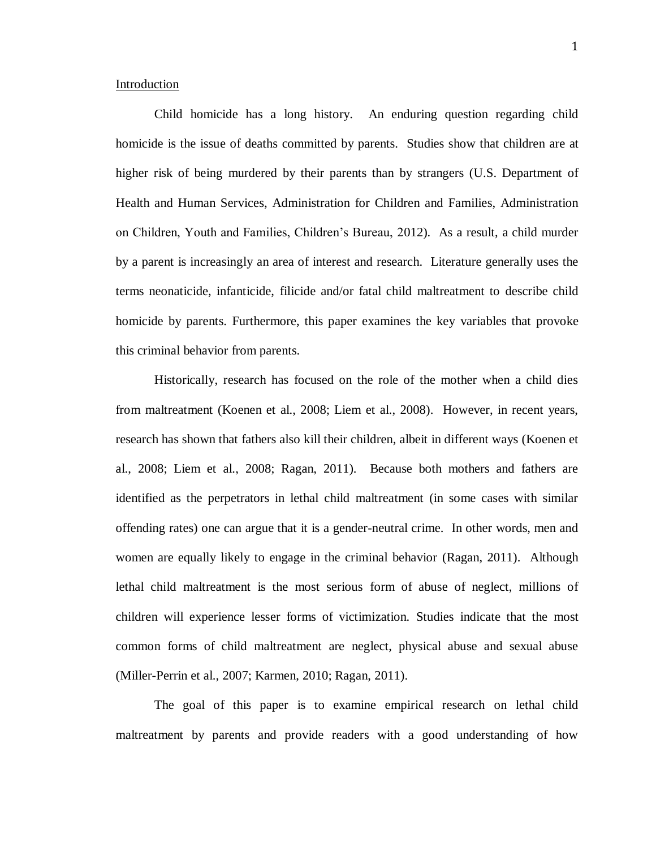#### Introduction

Child homicide has a long history. An enduring question regarding child homicide is the issue of deaths committed by parents. Studies show that children are at higher risk of being murdered by their parents than by strangers (U.S. Department of Health and Human Services, Administration for Children and Families, Administration on Children, Youth and Families, Children's Bureau, 2012). As a result, a child murder by a parent is increasingly an area of interest and research. Literature generally uses the terms neonaticide, infanticide, filicide and/or fatal child maltreatment to describe child homicide by parents. Furthermore, this paper examines the key variables that provoke this criminal behavior from parents.

Historically, research has focused on the role of the mother when a child dies from maltreatment (Koenen et al., 2008; Liem et al., 2008). However, in recent years, research has shown that fathers also kill their children, albeit in different ways (Koenen et al., 2008; Liem et al., 2008; Ragan, 2011). Because both mothers and fathers are identified as the perpetrators in lethal child maltreatment (in some cases with similar offending rates) one can argue that it is a gender-neutral crime. In other words, men and women are equally likely to engage in the criminal behavior (Ragan, 2011). Although lethal child maltreatment is the most serious form of abuse of neglect, millions of children will experience lesser forms of victimization. Studies indicate that the most common forms of child maltreatment are neglect, physical abuse and sexual abuse (Miller-Perrin et al., 2007; Karmen, 2010; Ragan, 2011).

The goal of this paper is to examine empirical research on lethal child maltreatment by parents and provide readers with a good understanding of how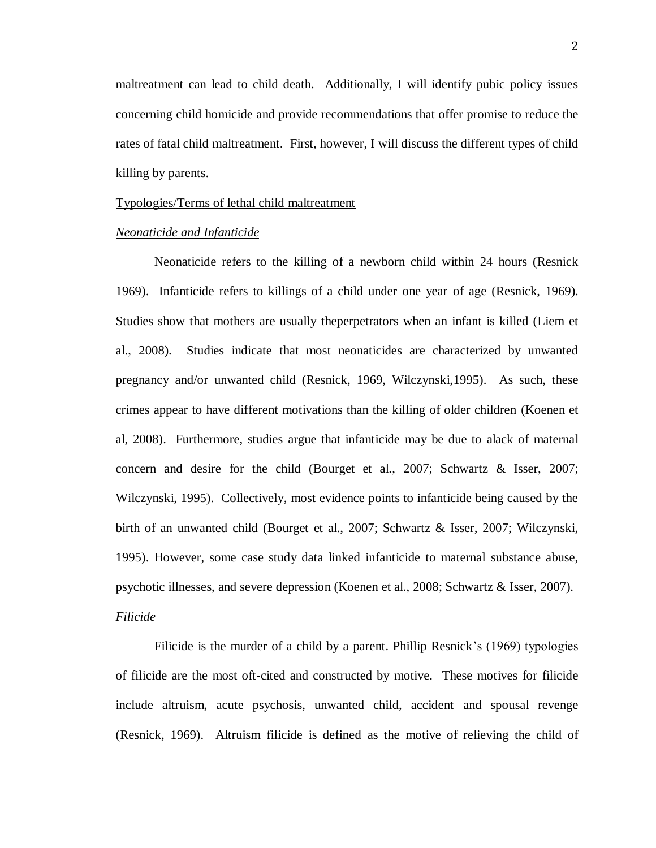maltreatment can lead to child death. Additionally, I will identify pubic policy issues concerning child homicide and provide recommendations that offer promise to reduce the rates of fatal child maltreatment. First, however, I will discuss the different types of child killing by parents.

#### Typologies/Terms of lethal child maltreatment

#### *Neonaticide and Infanticide*

Neonaticide refers to the killing of a newborn child within 24 hours (Resnick 1969). Infanticide refers to killings of a child under one year of age (Resnick, 1969). Studies show that mothers are usually theperpetrators when an infant is killed (Liem et al., 2008). Studies indicate that most neonaticides are characterized by unwanted pregnancy and/or unwanted child (Resnick, 1969, Wilczynski,1995). As such, these crimes appear to have different motivations than the killing of older children (Koenen et al, 2008). Furthermore, studies argue that infanticide may be due to alack of maternal concern and desire for the child (Bourget et al., 2007; Schwartz & Isser, 2007; Wilczynski, 1995). Collectively, most evidence points to infanticide being caused by the birth of an unwanted child (Bourget et al., 2007; Schwartz & Isser, 2007; Wilczynski, 1995). However, some case study data linked infanticide to maternal substance abuse, psychotic illnesses, and severe depression (Koenen et al., 2008; Schwartz & Isser, 2007). *Filicide*

# Filicide is the murder of a child by a parent. Phillip Resnick's (1969) typologies of filicide are the most oft-cited and constructed by motive. These motives for filicide include altruism, acute psychosis, unwanted child, accident and spousal revenge (Resnick, 1969). Altruism filicide is defined as the motive of relieving the child of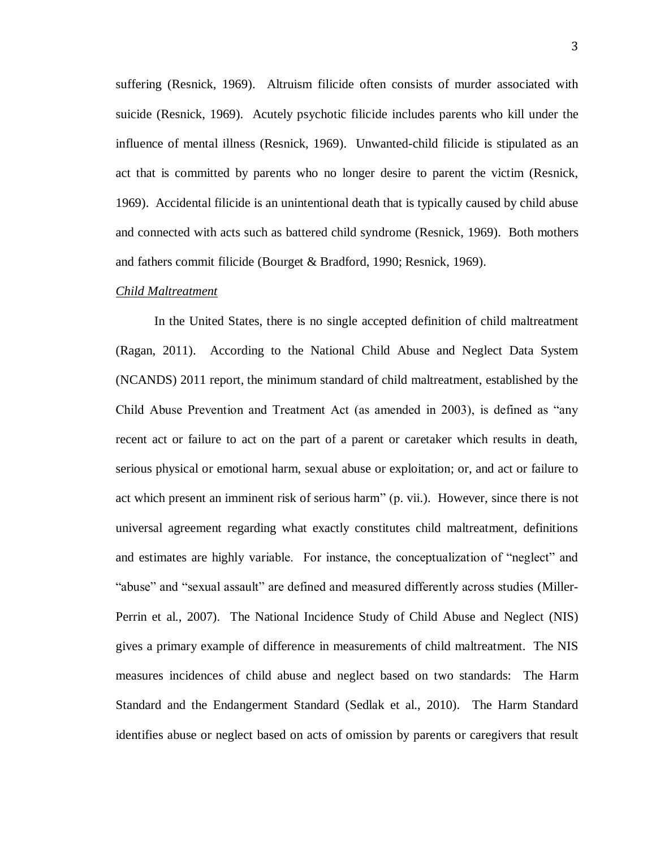suffering (Resnick, 1969). Altruism filicide often consists of murder associated with suicide (Resnick, 1969). Acutely psychotic filicide includes parents who kill under the influence of mental illness (Resnick, 1969). Unwanted-child filicide is stipulated as an act that is committed by parents who no longer desire to parent the victim (Resnick, 1969). Accidental filicide is an unintentional death that is typically caused by child abuse and connected with acts such as battered child syndrome (Resnick, 1969). Both mothers and fathers commit filicide (Bourget & Bradford, 1990; Resnick, 1969).

#### *Child Maltreatment*

In the United States, there is no single accepted definition of child maltreatment (Ragan, 2011). According to the National Child Abuse and Neglect Data System (NCANDS) 2011 report, the minimum standard of child maltreatment, established by the Child Abuse Prevention and Treatment Act (as amended in 2003), is defined as "any recent act or failure to act on the part of a parent or caretaker which results in death, serious physical or emotional harm, sexual abuse or exploitation; or, and act or failure to act which present an imminent risk of serious harm" (p. vii.). However, since there is not universal agreement regarding what exactly constitutes child maltreatment, definitions and estimates are highly variable. For instance, the conceptualization of "neglect" and "abuse" and "sexual assault" are defined and measured differently across studies (Miller-Perrin et al., 2007). The National Incidence Study of Child Abuse and Neglect (NIS) gives a primary example of difference in measurements of child maltreatment. The NIS measures incidences of child abuse and neglect based on two standards: The Harm Standard and the Endangerment Standard (Sedlak et al., 2010). The Harm Standard identifies abuse or neglect based on acts of omission by parents or caregivers that result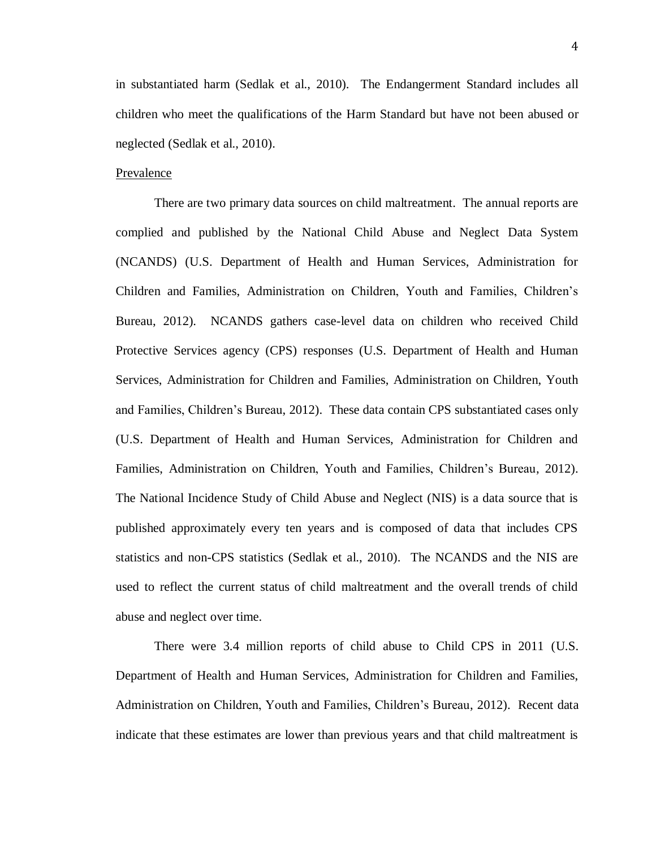in substantiated harm (Sedlak et al., 2010). The Endangerment Standard includes all children who meet the qualifications of the Harm Standard but have not been abused or neglected (Sedlak et al., 2010).

# Prevalence

There are two primary data sources on child maltreatment. The annual reports are complied and published by the National Child Abuse and Neglect Data System (NCANDS) (U.S. Department of Health and Human Services, Administration for Children and Families, Administration on Children, Youth and Families, Children's Bureau, 2012). NCANDS gathers case-level data on children who received Child Protective Services agency (CPS) responses (U.S. Department of Health and Human Services, Administration for Children and Families, Administration on Children, Youth and Families, Children's Bureau, 2012). These data contain CPS substantiated cases only (U.S. Department of Health and Human Services, Administration for Children and Families, Administration on Children, Youth and Families, Children's Bureau, 2012). The National Incidence Study of Child Abuse and Neglect (NIS) is a data source that is published approximately every ten years and is composed of data that includes CPS statistics and non-CPS statistics (Sedlak et al., 2010). The NCANDS and the NIS are used to reflect the current status of child maltreatment and the overall trends of child abuse and neglect over time.

There were 3.4 million reports of child abuse to Child CPS in 2011 (U.S. Department of Health and Human Services, Administration for Children and Families, Administration on Children, Youth and Families, Children's Bureau, 2012). Recent data indicate that these estimates are lower than previous years and that child maltreatment is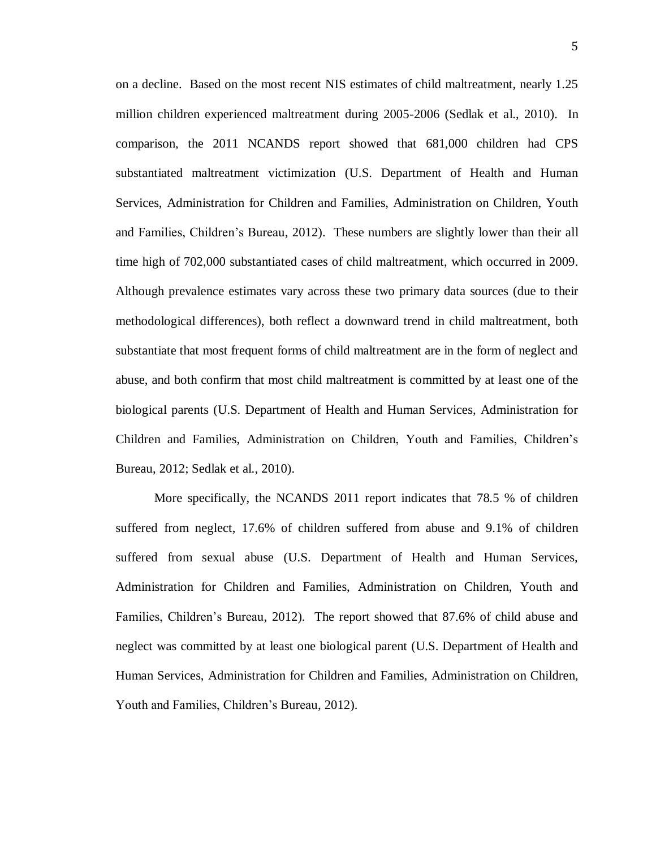on a decline. Based on the most recent NIS estimates of child maltreatment, nearly 1.25 million children experienced maltreatment during 2005-2006 (Sedlak et al., 2010). In comparison, the 2011 NCANDS report showed that 681,000 children had CPS substantiated maltreatment victimization (U.S. Department of Health and Human Services, Administration for Children and Families, Administration on Children, Youth and Families, Children's Bureau, 2012). These numbers are slightly lower than their all time high of 702,000 substantiated cases of child maltreatment, which occurred in 2009. Although prevalence estimates vary across these two primary data sources (due to their methodological differences), both reflect a downward trend in child maltreatment, both substantiate that most frequent forms of child maltreatment are in the form of neglect and abuse, and both confirm that most child maltreatment is committed by at least one of the biological parents (U.S. Department of Health and Human Services, Administration for Children and Families, Administration on Children, Youth and Families, Children's Bureau, 2012; Sedlak et al., 2010).

More specifically, the NCANDS 2011 report indicates that 78.5 % of children suffered from neglect, 17.6% of children suffered from abuse and 9.1% of children suffered from sexual abuse (U.S. Department of Health and Human Services, Administration for Children and Families, Administration on Children, Youth and Families, Children's Bureau, 2012). The report showed that 87.6% of child abuse and neglect was committed by at least one biological parent (U.S. Department of Health and Human Services, Administration for Children and Families, Administration on Children, Youth and Families, Children's Bureau, 2012).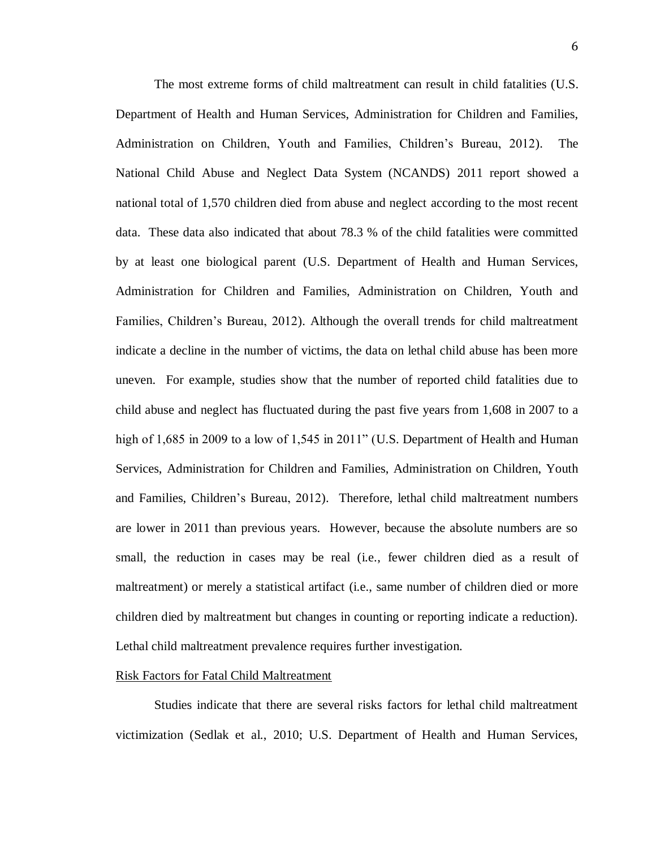The most extreme forms of child maltreatment can result in child fatalities (U.S. Department of Health and Human Services, Administration for Children and Families, Administration on Children, Youth and Families, Children's Bureau, 2012). The National Child Abuse and Neglect Data System (NCANDS) 2011 report showed a national total of 1,570 children died from abuse and neglect according to the most recent data. These data also indicated that about 78.3 % of the child fatalities were committed by at least one biological parent (U.S. Department of Health and Human Services, Administration for Children and Families, Administration on Children, Youth and Families, Children's Bureau, 2012). Although the overall trends for child maltreatment indicate a decline in the number of victims, the data on lethal child abuse has been more uneven. For example, studies show that the number of reported child fatalities due to child abuse and neglect has fluctuated during the past five years from 1,608 in 2007 to a high of 1,685 in 2009 to a low of 1,545 in 2011" (U.S. Department of Health and Human Services, Administration for Children and Families, Administration on Children, Youth and Families, Children's Bureau, 2012). Therefore, lethal child maltreatment numbers are lower in 2011 than previous years. However, because the absolute numbers are so small, the reduction in cases may be real (i.e., fewer children died as a result of maltreatment) or merely a statistical artifact (i.e., same number of children died or more children died by maltreatment but changes in counting or reporting indicate a reduction). Lethal child maltreatment prevalence requires further investigation.

#### Risk Factors for Fatal Child Maltreatment

Studies indicate that there are several risks factors for lethal child maltreatment victimization (Sedlak et al., 2010; U.S. Department of Health and Human Services,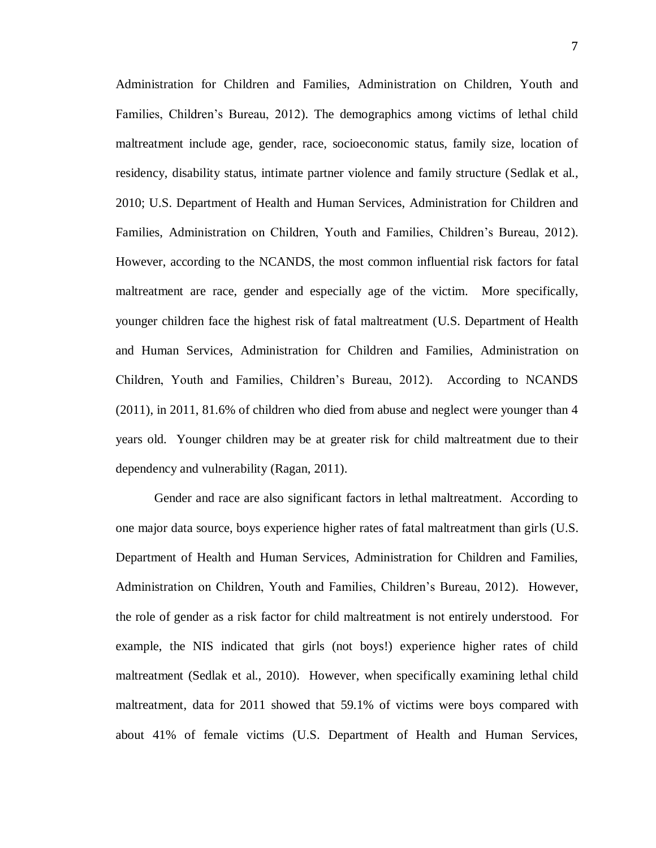Administration for Children and Families, Administration on Children, Youth and Families, Children's Bureau, 2012). The demographics among victims of lethal child maltreatment include age, gender, race, socioeconomic status, family size, location of residency, disability status, intimate partner violence and family structure (Sedlak et al., 2010; U.S. Department of Health and Human Services, Administration for Children and Families, Administration on Children, Youth and Families, Children's Bureau, 2012). However, according to the NCANDS, the most common influential risk factors for fatal maltreatment are race, gender and especially age of the victim. More specifically, younger children face the highest risk of fatal maltreatment (U.S. Department of Health and Human Services, Administration for Children and Families, Administration on Children, Youth and Families, Children's Bureau, 2012). According to NCANDS (2011), in 2011, 81.6% of children who died from abuse and neglect were younger than 4 years old. Younger children may be at greater risk for child maltreatment due to their dependency and vulnerability (Ragan, 2011).

Gender and race are also significant factors in lethal maltreatment. According to one major data source, boys experience higher rates of fatal maltreatment than girls (U.S. Department of Health and Human Services, Administration for Children and Families, Administration on Children, Youth and Families, Children's Bureau, 2012). However, the role of gender as a risk factor for child maltreatment is not entirely understood. For example, the NIS indicated that girls (not boys!) experience higher rates of child maltreatment (Sedlak et al., 2010). However, when specifically examining lethal child maltreatment, data for 2011 showed that 59.1% of victims were boys compared with about 41% of female victims (U.S. Department of Health and Human Services,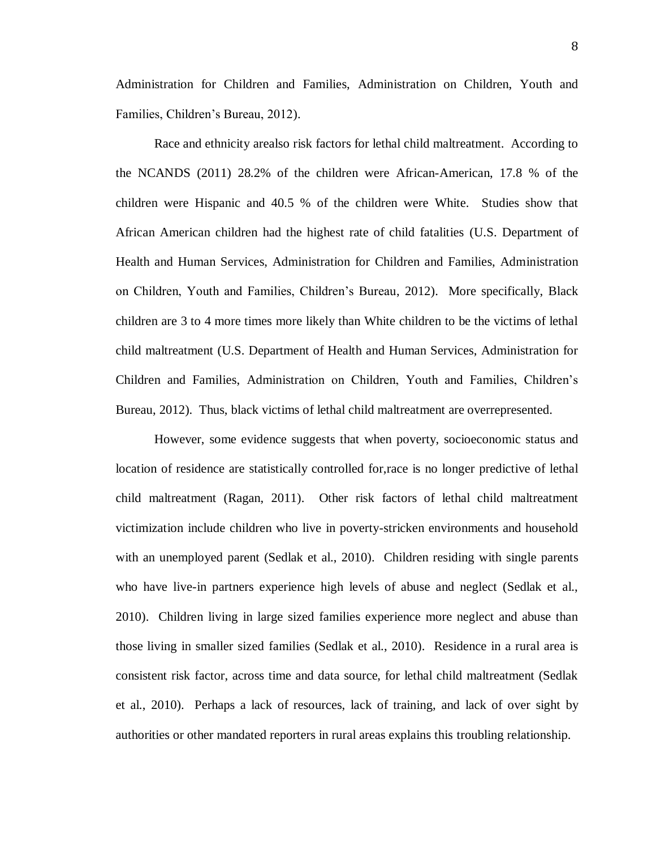Administration for Children and Families, Administration on Children, Youth and Families, Children's Bureau, 2012).

Race and ethnicity arealso risk factors for lethal child maltreatment. According to the NCANDS (2011) 28.2% of the children were African-American, 17.8 % of the children were Hispanic and 40.5 % of the children were White. Studies show that African American children had the highest rate of child fatalities (U.S. Department of Health and Human Services, Administration for Children and Families, Administration on Children, Youth and Families, Children's Bureau, 2012). More specifically, Black children are 3 to 4 more times more likely than White children to be the victims of lethal child maltreatment (U.S. Department of Health and Human Services, Administration for Children and Families, Administration on Children, Youth and Families, Children's Bureau, 2012). Thus, black victims of lethal child maltreatment are overrepresented.

However, some evidence suggests that when poverty, socioeconomic status and location of residence are statistically controlled for,race is no longer predictive of lethal child maltreatment (Ragan, 2011). Other risk factors of lethal child maltreatment victimization include children who live in poverty-stricken environments and household with an unemployed parent (Sedlak et al., 2010). Children residing with single parents who have live-in partners experience high levels of abuse and neglect (Sedlak et al., 2010). Children living in large sized families experience more neglect and abuse than those living in smaller sized families (Sedlak et al., 2010). Residence in a rural area is consistent risk factor, across time and data source, for lethal child maltreatment (Sedlak et al., 2010). Perhaps a lack of resources, lack of training, and lack of over sight by authorities or other mandated reporters in rural areas explains this troubling relationship.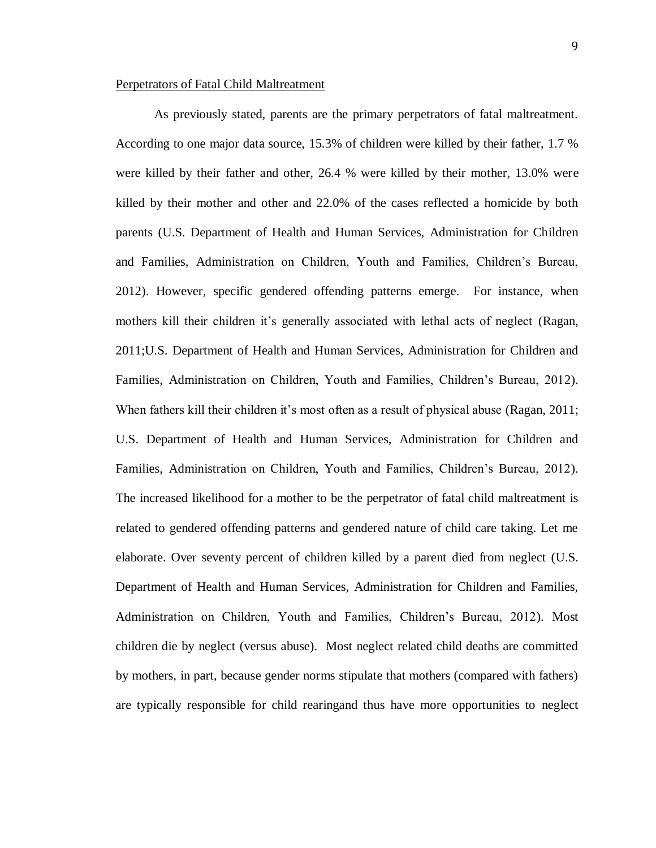#### Perpetrators of Fatal Child Maltreatment

As previously stated, parents are the primary perpetrators of fatal maltreatment. According to one major data source, 15.3% of children were killed by their father, 1.7 % were killed by their father and other, 26.4 % were killed by their mother, 13.0% were killed by their mother and other and 22.0% of the cases reflected a homicide by both parents (U.S. Department of Health and Human Services, Administration for Children and Families, Administration on Children, Youth and Families, Children's Bureau, 2012). However, specific gendered offending patterns emerge. For instance, when mothers kill their children it's generally associated with lethal acts of neglect (Ragan, 2011;U.S. Department of Health and Human Services, Administration for Children and Families, Administration on Children, Youth and Families, Children's Bureau, 2012). When fathers kill their children it's most often as a result of physical abuse (Ragan, 2011; U.S. Department of Health and Human Services, Administration for Children and Families, Administration on Children, Youth and Families, Children's Bureau, 2012). The increased likelihood for a mother to be the perpetrator of fatal child maltreatment is related to gendered offending patterns and gendered nature of child care taking. Let me elaborate. Over seventy percent of children killed by a parent died from neglect (U.S. Department of Health and Human Services, Administration for Children and Families, Administration on Children, Youth and Families, Children's Bureau, 2012). Most children die by neglect (versus abuse). Most neglect related child deaths are committed by mothers, in part, because gender norms stipulate that mothers (compared with fathers) are typically responsible for child rearingand thus have more opportunities to neglect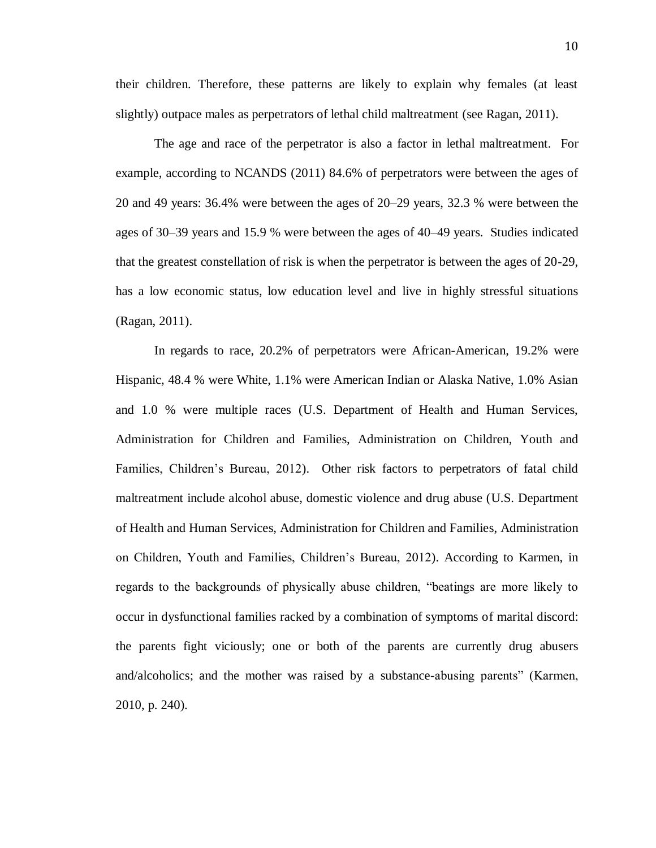10

their children. Therefore, these patterns are likely to explain why females (at least slightly) outpace males as perpetrators of lethal child maltreatment (see Ragan, 2011).

The age and race of the perpetrator is also a factor in lethal maltreatment. For example, according to NCANDS (2011) 84.6% of perpetrators were between the ages of 20 and 49 years: 36.4% were between the ages of 20–29 years, 32.3 % were between the ages of 30–39 years and 15.9 % were between the ages of 40–49 years. Studies indicated that the greatest constellation of risk is when the perpetrator is between the ages of 20-29, has a low economic status, low education level and live in highly stressful situations (Ragan, 2011).

In regards to race, 20.2% of perpetrators were African-American, 19.2% were Hispanic, 48.4 % were White, 1.1% were American Indian or Alaska Native, 1.0% Asian and 1.0 % were multiple races (U.S. Department of Health and Human Services, Administration for Children and Families, Administration on Children, Youth and Families, Children's Bureau, 2012). Other risk factors to perpetrators of fatal child maltreatment include alcohol abuse, domestic violence and drug abuse (U.S. Department of Health and Human Services, Administration for Children and Families, Administration on Children, Youth and Families, Children's Bureau, 2012). According to Karmen, in regards to the backgrounds of physically abuse children, "beatings are more likely to occur in dysfunctional families racked by a combination of symptoms of marital discord: the parents fight viciously; one or both of the parents are currently drug abusers and/alcoholics; and the mother was raised by a substance-abusing parents" (Karmen, 2010, p. 240).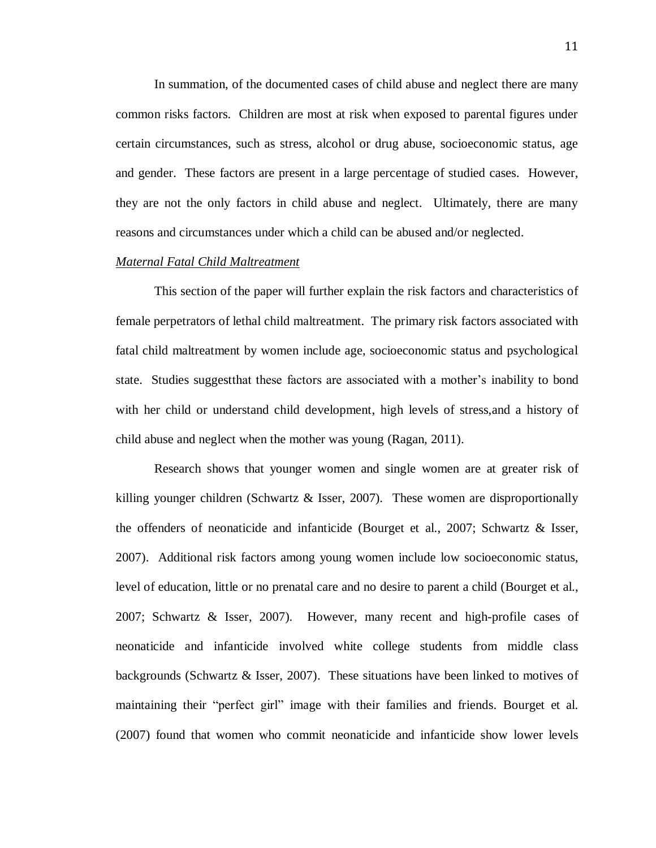In summation, of the documented cases of child abuse and neglect there are many common risks factors. Children are most at risk when exposed to parental figures under certain circumstances, such as stress, alcohol or drug abuse, socioeconomic status, age and gender. These factors are present in a large percentage of studied cases. However, they are not the only factors in child abuse and neglect. Ultimately, there are many reasons and circumstances under which a child can be abused and/or neglected.

#### *Maternal Fatal Child Maltreatment*

This section of the paper will further explain the risk factors and characteristics of female perpetrators of lethal child maltreatment. The primary risk factors associated with fatal child maltreatment by women include age, socioeconomic status and psychological state. Studies suggestthat these factors are associated with a mother's inability to bond with her child or understand child development, high levels of stress,and a history of child abuse and neglect when the mother was young (Ragan, 2011).

Research shows that younger women and single women are at greater risk of killing younger children (Schwartz & Isser, 2007). These women are disproportionally the offenders of neonaticide and infanticide (Bourget et al., 2007; Schwartz & Isser, 2007). Additional risk factors among young women include low socioeconomic status, level of education, little or no prenatal care and no desire to parent a child (Bourget et al., 2007; Schwartz & Isser, 2007). However, many recent and high-profile cases of neonaticide and infanticide involved white college students from middle class backgrounds (Schwartz & Isser, 2007). These situations have been linked to motives of maintaining their "perfect girl" image with their families and friends. Bourget et al. (2007) found that women who commit neonaticide and infanticide show lower levels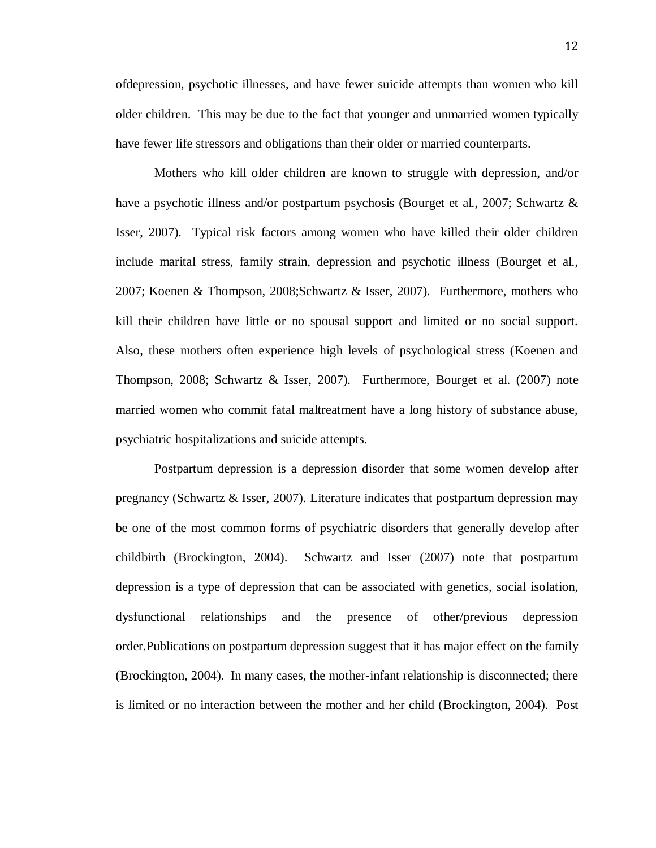ofdepression, psychotic illnesses, and have fewer suicide attempts than women who kill older children. This may be due to the fact that younger and unmarried women typically have fewer life stressors and obligations than their older or married counterparts.

Mothers who kill older children are known to struggle with depression, and/or have a psychotic illness and/or postpartum psychosis (Bourget et al., 2007; Schwartz & Isser, 2007). Typical risk factors among women who have killed their older children include marital stress, family strain, depression and psychotic illness (Bourget et al., 2007; Koenen & Thompson, 2008;Schwartz & Isser, 2007). Furthermore, mothers who kill their children have little or no spousal support and limited or no social support. Also, these mothers often experience high levels of psychological stress (Koenen and Thompson, 2008; Schwartz & Isser, 2007). Furthermore, Bourget et al. (2007) note married women who commit fatal maltreatment have a long history of substance abuse, psychiatric hospitalizations and suicide attempts.

Postpartum depression is a depression disorder that some women develop after pregnancy (Schwartz & Isser, 2007). Literature indicates that postpartum depression may be one of the most common forms of psychiatric disorders that generally develop after childbirth (Brockington, 2004). Schwartz and Isser (2007) note that postpartum depression is a type of depression that can be associated with genetics, social isolation, dysfunctional relationships and the presence of other/previous depression order.Publications on postpartum depression suggest that it has major effect on the family (Brockington, 2004). In many cases, the mother-infant relationship is disconnected; there is limited or no interaction between the mother and her child (Brockington, 2004). Post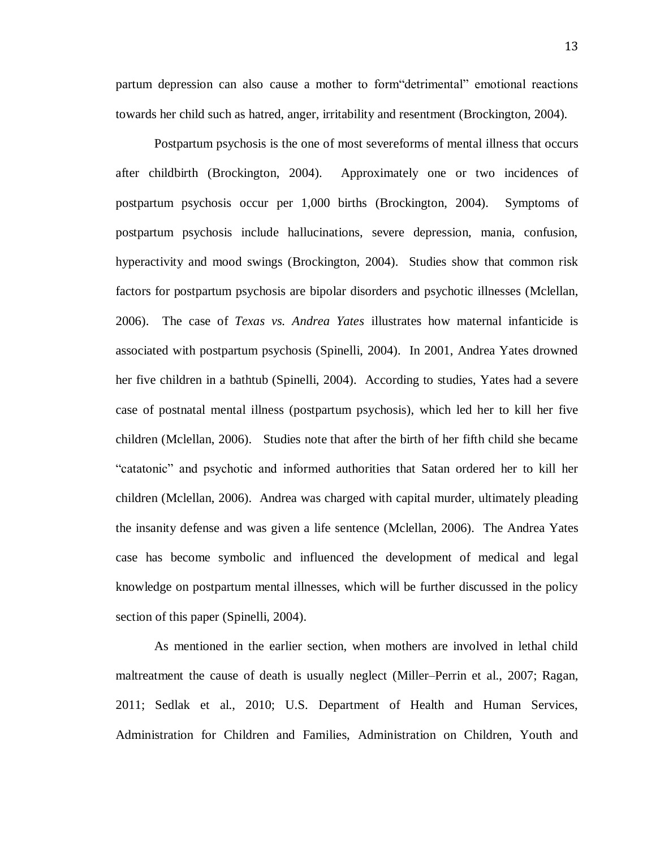partum depression can also cause a mother to form"detrimental" emotional reactions towards her child such as hatred, anger, irritability and resentment (Brockington, 2004).

Postpartum psychosis is the one of most severeforms of mental illness that occurs after childbirth (Brockington, 2004). Approximately one or two incidences of postpartum psychosis occur per 1,000 births (Brockington, 2004). Symptoms of postpartum psychosis include hallucinations, severe depression, mania, confusion, hyperactivity and mood swings (Brockington, 2004). Studies show that common risk factors for postpartum psychosis are bipolar disorders and psychotic illnesses (Mclellan, 2006). The case of *Texas vs. Andrea Yates* illustrates how maternal infanticide is associated with postpartum psychosis (Spinelli, 2004). In 2001, Andrea Yates drowned her five children in a bathtub (Spinelli, 2004). According to studies, Yates had a severe case of postnatal mental illness (postpartum psychosis), which led her to kill her five children (Mclellan, 2006). Studies note that after the birth of her fifth child she became "catatonic" and psychotic and informed authorities that Satan ordered her to kill her children (Mclellan, 2006). Andrea was charged with capital murder, ultimately pleading the insanity defense and was given a life sentence (Mclellan, 2006). The Andrea Yates case has become symbolic and influenced the development of medical and legal knowledge on postpartum mental illnesses, which will be further discussed in the policy section of this paper (Spinelli, 2004).

As mentioned in the earlier section, when mothers are involved in lethal child maltreatment the cause of death is usually neglect (Miller–Perrin et al., 2007; Ragan, 2011; Sedlak et al., 2010; U.S. Department of Health and Human Services, Administration for Children and Families, Administration on Children, Youth and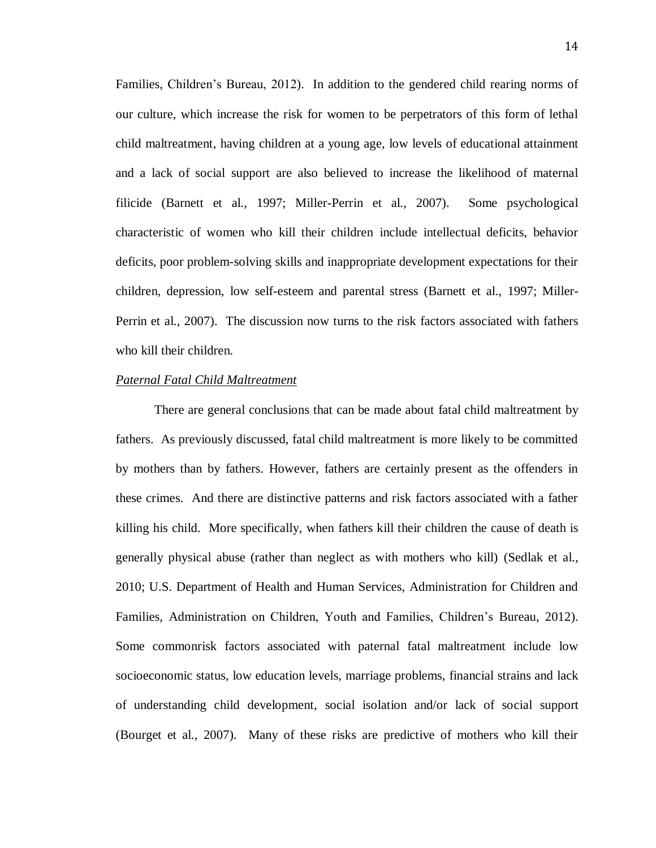Families, Children's Bureau, 2012). In addition to the gendered child rearing norms of our culture, which increase the risk for women to be perpetrators of this form of lethal child maltreatment, having children at a young age, low levels of educational attainment and a lack of social support are also believed to increase the likelihood of maternal filicide (Barnett et al., 1997; Miller-Perrin et al., 2007). Some psychological characteristic of women who kill their children include intellectual deficits, behavior deficits, poor problem-solving skills and inappropriate development expectations for their children, depression, low self-esteem and parental stress (Barnett et al., 1997; Miller-Perrin et al., 2007). The discussion now turns to the risk factors associated with fathers who kill their children.

#### *Paternal Fatal Child Maltreatment*

There are general conclusions that can be made about fatal child maltreatment by fathers. As previously discussed, fatal child maltreatment is more likely to be committed by mothers than by fathers. However, fathers are certainly present as the offenders in these crimes. And there are distinctive patterns and risk factors associated with a father killing his child. More specifically, when fathers kill their children the cause of death is generally physical abuse (rather than neglect as with mothers who kill) (Sedlak et al., 2010; U.S. Department of Health and Human Services, Administration for Children and Families, Administration on Children, Youth and Families, Children's Bureau, 2012). Some commonrisk factors associated with paternal fatal maltreatment include low socioeconomic status, low education levels, marriage problems, financial strains and lack of understanding child development, social isolation and/or lack of social support (Bourget et al., 2007). Many of these risks are predictive of mothers who kill their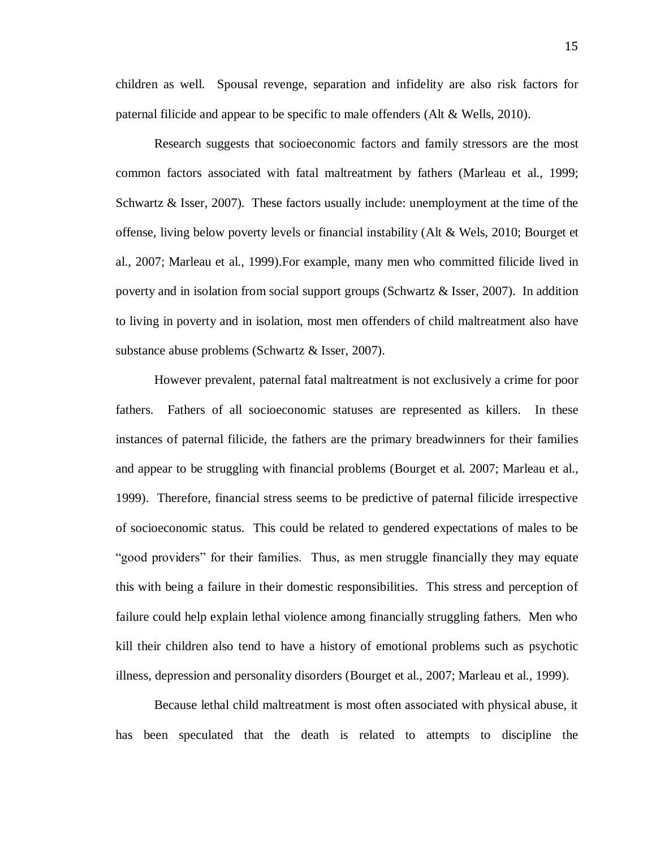15

children as well. Spousal revenge, separation and infidelity are also risk factors for paternal filicide and appear to be specific to male offenders (Alt & Wells, 2010).

Research suggests that socioeconomic factors and family stressors are the most common factors associated with fatal maltreatment by fathers (Marleau et al., 1999; Schwartz & Isser, 2007). These factors usually include: unemployment at the time of the offense, living below poverty levels or financial instability (Alt & Wels, 2010; Bourget et al., 2007; Marleau et al., 1999).For example, many men who committed filicide lived in poverty and in isolation from social support groups (Schwartz & Isser, 2007). In addition to living in poverty and in isolation, most men offenders of child maltreatment also have substance abuse problems (Schwartz & Isser, 2007).

However prevalent, paternal fatal maltreatment is not exclusively a crime for poor fathers. Fathers of all socioeconomic statuses are represented as killers. In these instances of paternal filicide, the fathers are the primary breadwinners for their families and appear to be struggling with financial problems (Bourget et al. 2007; Marleau et al., 1999). Therefore, financial stress seems to be predictive of paternal filicide irrespective of socioeconomic status. This could be related to gendered expectations of males to be "good providers" for their families. Thus, as men struggle financially they may equate this with being a failure in their domestic responsibilities. This stress and perception of failure could help explain lethal violence among financially struggling fathers. Men who kill their children also tend to have a history of emotional problems such as psychotic illness, depression and personality disorders (Bourget et al., 2007; Marleau et al., 1999).

Because lethal child maltreatment is most often associated with physical abuse, it has been speculated that the death is related to attempts to discipline the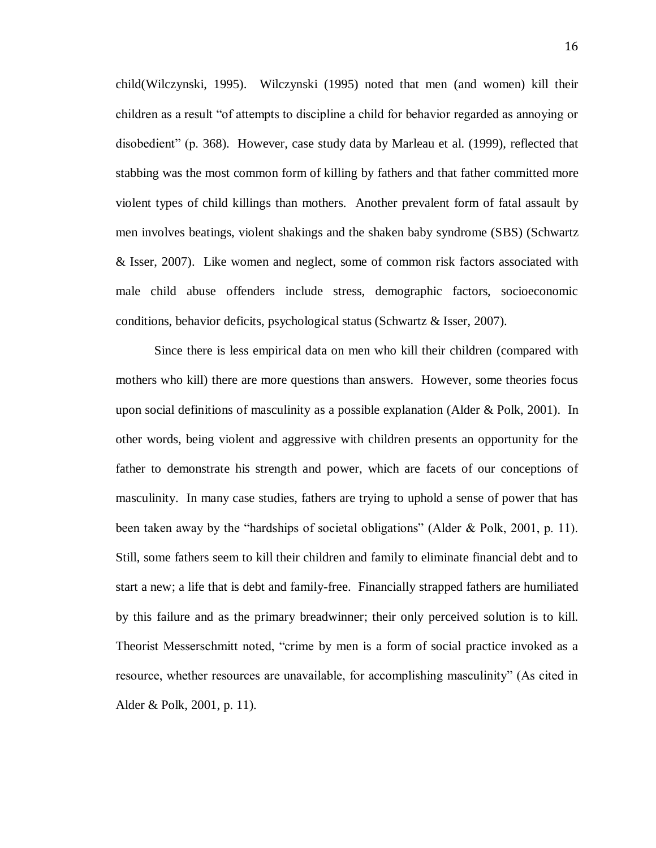child(Wilczynski, 1995). Wilczynski (1995) noted that men (and women) kill their children as a result "of attempts to discipline a child for behavior regarded as annoying or disobedient" (p. 368). However, case study data by Marleau et al. (1999), reflected that stabbing was the most common form of killing by fathers and that father committed more violent types of child killings than mothers. Another prevalent form of fatal assault by men involves beatings, violent shakings and the shaken baby syndrome (SBS) (Schwartz & Isser, 2007). Like women and neglect, some of common risk factors associated with male child abuse offenders include stress, demographic factors, socioeconomic conditions, behavior deficits, psychological status (Schwartz & Isser, 2007).

Since there is less empirical data on men who kill their children (compared with mothers who kill) there are more questions than answers. However, some theories focus upon social definitions of masculinity as a possible explanation (Alder & Polk, 2001). In other words, being violent and aggressive with children presents an opportunity for the father to demonstrate his strength and power, which are facets of our conceptions of masculinity. In many case studies, fathers are trying to uphold a sense of power that has been taken away by the "hardships of societal obligations" (Alder & Polk, 2001, p. 11). Still, some fathers seem to kill their children and family to eliminate financial debt and to start a new; a life that is debt and family-free. Financially strapped fathers are humiliated by this failure and as the primary breadwinner; their only perceived solution is to kill. Theorist Messerschmitt noted, "crime by men is a form of social practice invoked as a resource, whether resources are unavailable, for accomplishing masculinity" (As cited in Alder & Polk, 2001, p. 11).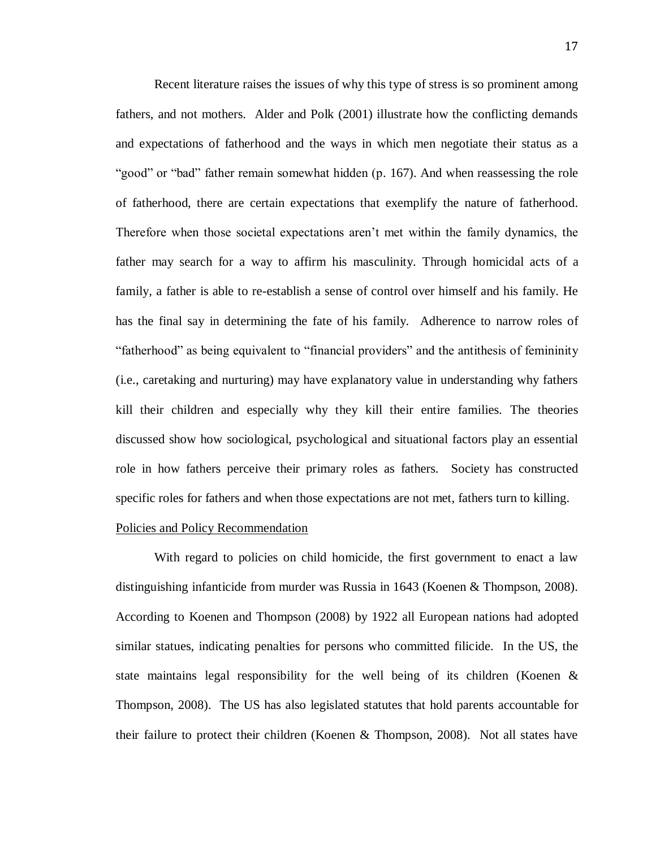Recent literature raises the issues of why this type of stress is so prominent among fathers, and not mothers. Alder and Polk (2001) illustrate how the conflicting demands and expectations of fatherhood and the ways in which men negotiate their status as a "good" or "bad" father remain somewhat hidden (p. 167). And when reassessing the role of fatherhood, there are certain expectations that exemplify the nature of fatherhood. Therefore when those societal expectations aren't met within the family dynamics, the father may search for a way to affirm his masculinity. Through homicidal acts of a family, a father is able to re-establish a sense of control over himself and his family. He has the final say in determining the fate of his family. Adherence to narrow roles of "fatherhood" as being equivalent to "financial providers" and the antithesis of femininity (i.e., caretaking and nurturing) may have explanatory value in understanding why fathers kill their children and especially why they kill their entire families. The theories discussed show how sociological, psychological and situational factors play an essential role in how fathers perceive their primary roles as fathers. Society has constructed specific roles for fathers and when those expectations are not met, fathers turn to killing.

# Policies and Policy Recommendation

With regard to policies on child homicide, the first government to enact a law distinguishing infanticide from murder was Russia in 1643 (Koenen & Thompson, 2008). According to Koenen and Thompson (2008) by 1922 all European nations had adopted similar statues, indicating penalties for persons who committed filicide. In the US, the state maintains legal responsibility for the well being of its children (Koenen  $\&$ Thompson, 2008). The US has also legislated statutes that hold parents accountable for their failure to protect their children (Koenen & Thompson, 2008). Not all states have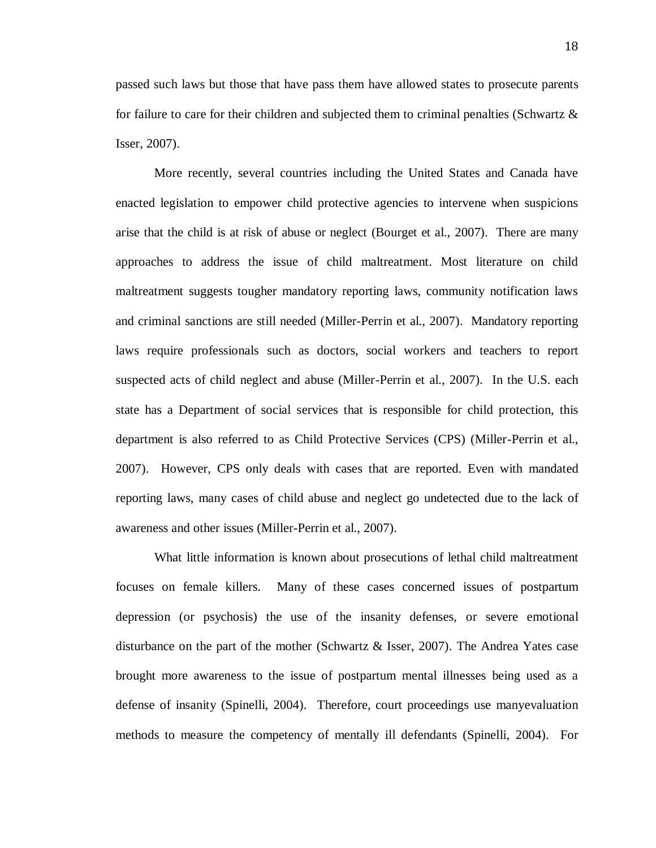passed such laws but those that have pass them have allowed states to prosecute parents for failure to care for their children and subjected them to criminal penalties (Schwartz & Isser, 2007).

More recently, several countries including the United States and Canada have enacted legislation to empower child protective agencies to intervene when suspicions arise that the child is at risk of abuse or neglect (Bourget et al., 2007). There are many approaches to address the issue of child maltreatment. Most literature on child maltreatment suggests tougher mandatory reporting laws, community notification laws and criminal sanctions are still needed (Miller-Perrin et al., 2007). Mandatory reporting laws require professionals such as doctors, social workers and teachers to report suspected acts of child neglect and abuse (Miller-Perrin et al., 2007). In the U.S. each state has a Department of social services that is responsible for child protection, this department is also referred to as Child Protective Services (CPS) (Miller-Perrin et al., 2007). However, CPS only deals with cases that are reported. Even with mandated reporting laws, many cases of child abuse and neglect go undetected due to the lack of awareness and other issues (Miller-Perrin et al., 2007).

What little information is known about prosecutions of lethal child maltreatment focuses on female killers. Many of these cases concerned issues of postpartum depression (or psychosis) the use of the insanity defenses, or severe emotional disturbance on the part of the mother (Schwartz & Isser, 2007). The Andrea Yates case brought more awareness to the issue of postpartum mental illnesses being used as a defense of insanity (Spinelli, 2004). Therefore, court proceedings use manyevaluation methods to measure the competency of mentally ill defendants (Spinelli, 2004). For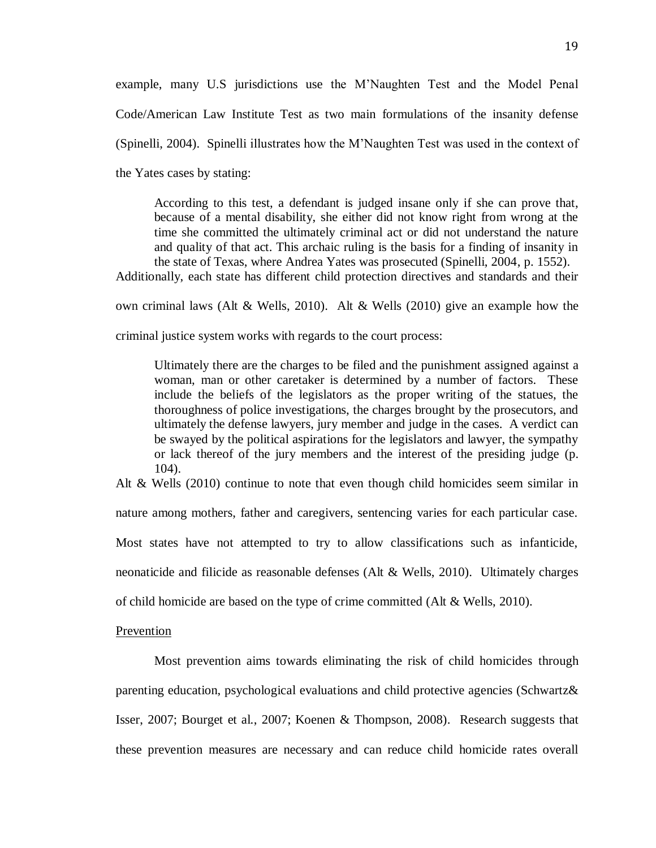example, many U.S jurisdictions use the M'Naughten Test and the Model Penal Code/American Law Institute Test as two main formulations of the insanity defense (Spinelli, 2004). Spinelli illustrates how the M'Naughten Test was used in the context of the Yates cases by stating:

According to this test, a defendant is judged insane only if she can prove that, because of a mental disability, she either did not know right from wrong at the time she committed the ultimately criminal act or did not understand the nature and quality of that act. This archaic ruling is the basis for a finding of insanity in the state of Texas, where Andrea Yates was prosecuted (Spinelli, 2004, p. 1552).

Additionally, each state has different child protection directives and standards and their

own criminal laws (Alt & Wells, 2010). Alt & Wells (2010) give an example how the

criminal justice system works with regards to the court process:

Ultimately there are the charges to be filed and the punishment assigned against a woman, man or other caretaker is determined by a number of factors. These include the beliefs of the legislators as the proper writing of the statues, the thoroughness of police investigations, the charges brought by the prosecutors, and ultimately the defense lawyers, jury member and judge in the cases. A verdict can be swayed by the political aspirations for the legislators and lawyer, the sympathy or lack thereof of the jury members and the interest of the presiding judge (p. 104).

Alt & Wells (2010) continue to note that even though child homicides seem similar in

nature among mothers, father and caregivers, sentencing varies for each particular case.

Most states have not attempted to try to allow classifications such as infanticide,

neonaticide and filicide as reasonable defenses (Alt & Wells, 2010). Ultimately charges

of child homicide are based on the type of crime committed (Alt  $&$  Wells, 2010).

# Prevention

Most prevention aims towards eliminating the risk of child homicides through parenting education, psychological evaluations and child protective agencies (Schwartz& Isser, 2007; Bourget et al., 2007; Koenen & Thompson, 2008). Research suggests that these prevention measures are necessary and can reduce child homicide rates overall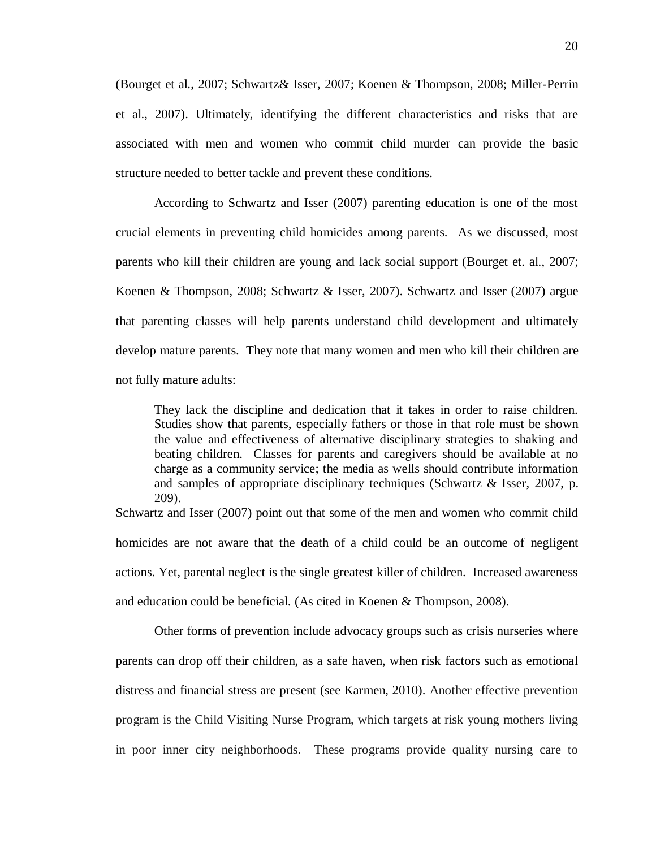(Bourget et al., 2007; Schwartz& Isser, 2007; Koenen & Thompson, 2008; Miller-Perrin et al., 2007). Ultimately, identifying the different characteristics and risks that are associated with men and women who commit child murder can provide the basic structure needed to better tackle and prevent these conditions.

According to Schwartz and Isser (2007) parenting education is one of the most crucial elements in preventing child homicides among parents. As we discussed, most parents who kill their children are young and lack social support (Bourget et. al., 2007; Koenen & Thompson, 2008; Schwartz & Isser, 2007). Schwartz and Isser (2007) argue that parenting classes will help parents understand child development and ultimately develop mature parents. They note that many women and men who kill their children are not fully mature adults:

They lack the discipline and dedication that it takes in order to raise children. Studies show that parents, especially fathers or those in that role must be shown the value and effectiveness of alternative disciplinary strategies to shaking and beating children. Classes for parents and caregivers should be available at no charge as a community service; the media as wells should contribute information and samples of appropriate disciplinary techniques (Schwartz & Isser, 2007, p. 209).

Schwartz and Isser (2007) point out that some of the men and women who commit child homicides are not aware that the death of a child could be an outcome of negligent actions. Yet, parental neglect is the single greatest killer of children. Increased awareness and education could be beneficial. (As cited in Koenen & Thompson, 2008).

Other forms of prevention include advocacy groups such as crisis nurseries where parents can drop off their children, as a safe haven, when risk factors such as emotional distress and financial stress are present (see Karmen, 2010). Another effective prevention program is the Child Visiting Nurse Program, which targets at risk young mothers living in poor inner city neighborhoods. These programs provide quality nursing care to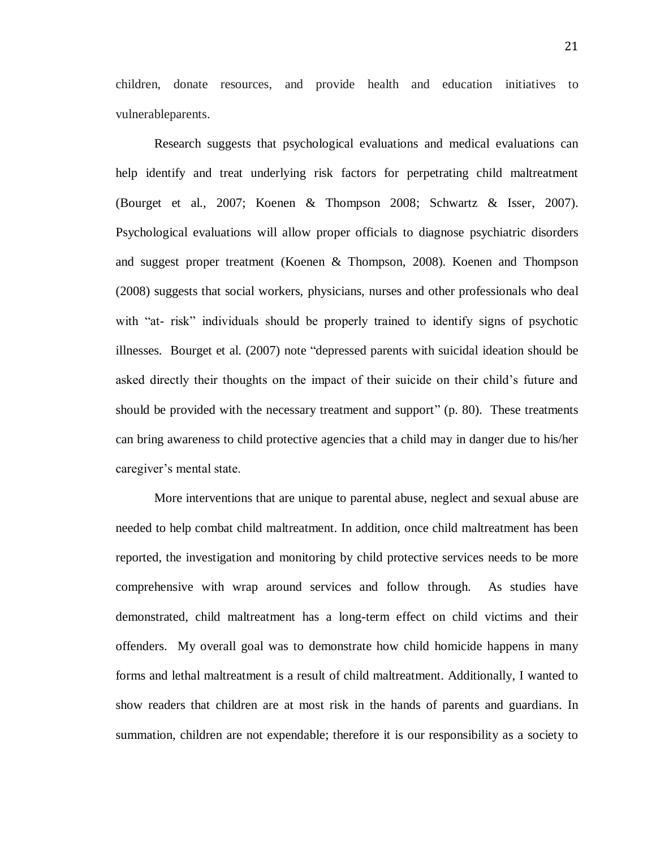children, donate resources, and provide health and education initiatives to vulnerableparents.

Research suggests that psychological evaluations and medical evaluations can help identify and treat underlying risk factors for perpetrating child maltreatment (Bourget et al., 2007; Koenen & Thompson 2008; Schwartz & Isser, 2007). Psychological evaluations will allow proper officials to diagnose psychiatric disorders and suggest proper treatment (Koenen & Thompson, 2008). Koenen and Thompson (2008) suggests that social workers, physicians, nurses and other professionals who deal with "at- risk" individuals should be properly trained to identify signs of psychotic illnesses. Bourget et al. (2007) note "depressed parents with suicidal ideation should be asked directly their thoughts on the impact of their suicide on their child's future and should be provided with the necessary treatment and support" (p. 80). These treatments can bring awareness to child protective agencies that a child may in danger due to his/her caregiver's mental state.

More interventions that are unique to parental abuse, neglect and sexual abuse are needed to help combat child maltreatment. In addition, once child maltreatment has been reported, the investigation and monitoring by child protective services needs to be more comprehensive with wrap around services and follow through. As studies have demonstrated, child maltreatment has a long-term effect on child victims and their offenders. My overall goal was to demonstrate how child homicide happens in many forms and lethal maltreatment is a result of child maltreatment. Additionally, I wanted to show readers that children are at most risk in the hands of parents and guardians. In summation, children are not expendable; therefore it is our responsibility as a society to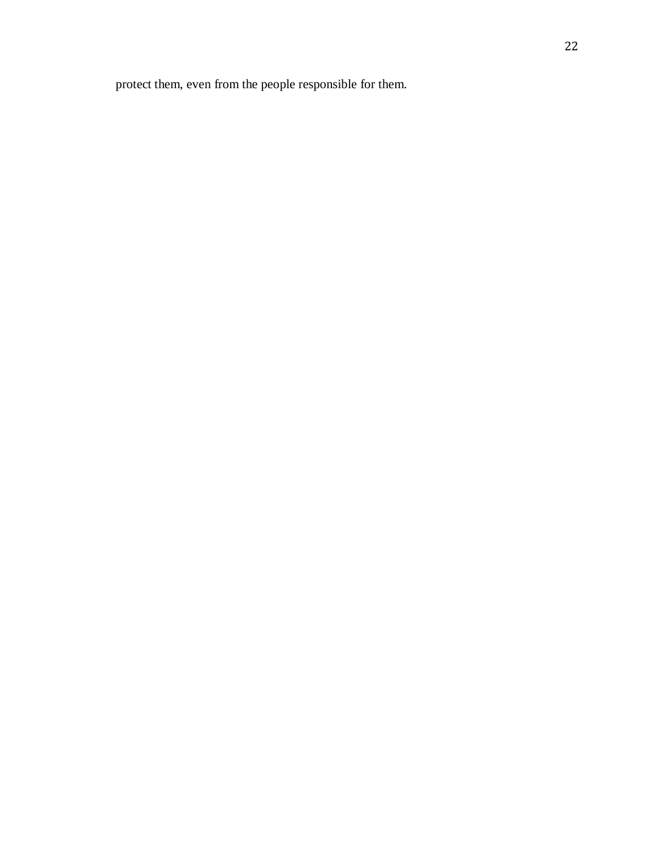protect them, even from the people responsible for them.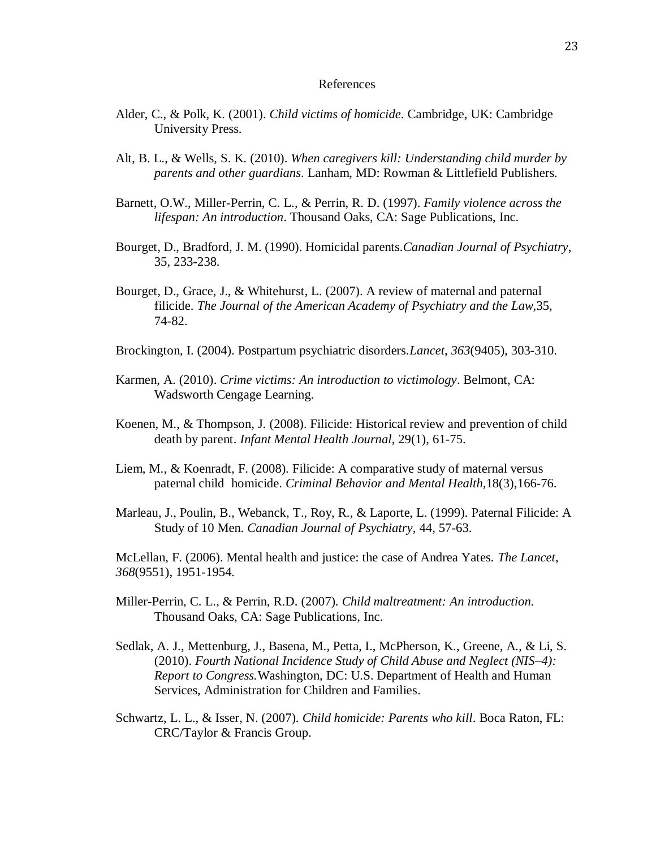#### References

- Alder, C., & Polk, K. (2001). *Child victims of homicide*. Cambridge, UK: Cambridge University Press.
- Alt, B. L., & Wells, S. K. (2010). *When caregivers kill: Understanding child murder by parents and other guardians*. Lanham, MD: Rowman & Littlefield Publishers.
- Barnett, O.W., Miller-Perrin, C. L., & Perrin, R. D. (1997). *Family violence across the lifespan: An introduction*. Thousand Oaks, CA: Sage Publications, Inc.
- Bourget, D., Bradford, J. M. (1990). Homicidal parents.*Canadian Journal of Psychiatry*, 35, 233-238.
- Bourget, D., Grace, J., & Whitehurst, L. (2007). A review of maternal and paternal filicide. *The Journal of the American Academy of Psychiatry and the Law*,35, 74-82.
- Brockington, I. (2004). Postpartum psychiatric disorders.*Lancet*, *363*(9405), 303-310.
- Karmen, A. (2010). *Crime victims: An introduction to victimology*. Belmont, CA: Wadsworth Cengage Learning.
- Koenen, M., & Thompson, J. (2008). Filicide: Historical review and prevention of child death by parent. *Infant Mental Health Journal*, 29(1), 61-75.
- Liem, M., & Koenradt, F. (2008). Filicide: A comparative study of maternal versus paternal child homicide. *Criminal Behavior and Mental Health,*18(3),166-76.
- Marleau, J., Poulin, B., Webanck, T., Roy, R., & Laporte, L. (1999). Paternal Filicide: A Study of 10 Men. *Canadian Journal of Psychiatry*, 44, 57-63.

McLellan, F. (2006). Mental health and justice: the case of Andrea Yates. *The Lancet*, *368*(9551), 1951-1954.

- Miller-Perrin, C. L., & Perrin, R.D. (2007). *Child maltreatment: An introduction*. Thousand Oaks, CA: Sage Publications, Inc.
- Sedlak, A. J., Mettenburg, J., Basena, M., Petta, I., McPherson, K., Greene, A., & Li, S. (2010). *Fourth National Incidence Study of Child Abuse and Neglect (NIS–4): Report to Congress.*Washington, DC: U.S. Department of Health and Human Services, Administration for Children and Families.
- Schwartz, L. L., & Isser, N. (2007). *Child homicide: Parents who kill*. Boca Raton, FL: CRC/Taylor & Francis Group.